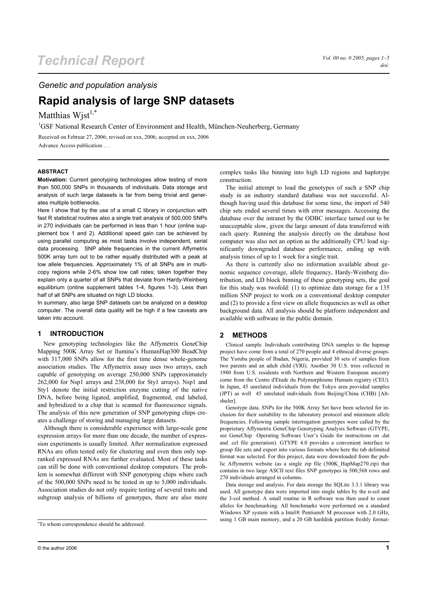### *Genetic and population analysis*

# **Rapid analysis of large SNP datasets**

## Matthias Wist<sup>1,\*</sup>

<sup>1</sup>GSF National Research Center of Environment and Health, München-Neuherberg, Germany

Received on Februar 27, 2006; revised on xxx, 2006; accepted on xxx, 2006 Advance Access publication . . .

#### **ABSTRACT**

**Motivation:** Current genotyping technologies allow testing of more than 500,000 SNPs in thousands of individuals. Data storage and analysis of such large datasets is far from being trivial and generates multiple bottlenecks.

Here I show that by the use of a small C library in conjunction with fast R statistical routines also a single trait analysis of 500,000 SNPs in 270 individuals can be performed in less than 1 hour (online supplement box 1 and 2). Additional speed gain can be achieved by using parallel computing as most tasks involve independent, serial data processing. SNP allele frequencies in the current Affymetrix 500K array turn out to be rather equally distributed with a peak at low allele frequencies. Approximately 1% of all SNPs are in multicopy regions while 2-6% show low call rates; taken together they explain only a quarter of all SNPs that deviate from Hardy-Weinberg equilibrium (online supplement tables 1-4, figures 1-3). Less than half of all SNPs are situated on high LD blocks.

In summary, also large SNP datasets can be analyzed on a desktop computer. The overall data quality will be high if a few caveats are taken into account.

#### **1 INTRODUCTION**

New genotyping technologies like the Affymetrix GeneChip Mapping 500K Array Set or llumina's HumanHap300 BeadChip with 317,000 SNPs allow for the first time dense whole-genome association studies. The Affymetrix assay uses two arrays, each capable of genotyping on average 250,000 SNPs (approximately 262,000 for Nsp1 arrays and 238,000 for Sty1 arrays). Nsp1 and Sty1 denote the initial restriction enzyme cutting of the native DNA, before being ligated, amplified, fragmented, end labeled, and hybridized to a chip that is scanned for fluorescence signals. The analysis of this new generation of SNP genotyping chips creates a challenge of storing and managing large datasets.

Although there is considerable experience with large-scale gene expression arrays for more than one decade, the number of expression experiments is usually limited. After normalization expressed RNAs are often tested only for clustering and even then only topranked expressed RNAs are further evaluated. Most of these tasks can still be done with conventional desktop computers. The problem is somewhat different with SNP genotyping chips where each of the 500,000 SNPs need to be tested in up to 5,000 individuals. Association studies do not only require testing of several traits and subgroup analysis of billions of genotypes, there are also more

complex tasks like binning into high LD regions and haplotype construction.

The initial attempt to load the genotypes of such a SNP chip study in an industry standard database was not successful. Although having used this database for some time, the import of 540 chip sets ended several times with error messages. Accessing the database over the intranet by the ODBC interface turned out to be unacceptable slow, given the large amount of data transferred with each query. Running the analysis directly on the database host computer was also not an option as the additionally CPU load significantly downgraded database performance, ending up with analysis times of up to 1 week for a single trait.

As there is currently also no information available about genomic sequence coverage, allele frequency, Hardy-Weinberg distribution, and LD block binning of these genotyping sets, the goal for this study was twofold: (1) to optimize data storage for a 135 million SNP project to work on a conventional desktop computer and (2) to provide a first view on allele frequencies as well as other background data. All analysis should be platform independent and available with software in the public domain.

#### **2 METHODS**

Clinical sample. Individuals contributing DNA samples to the hapmap project have come from a total of 270 people and 4 ethnical diverse groups. The Yoruba people of Ibadan, Nigeria, provided 30 sets of samples from two parents and an adult child (YRI). Another 30 U.S. trios collected in 1980 from U.S. residents with Northern and Western European ancestry come from the Centre d'Etude du Polymorphisme Humain registry (CEU). In Japan, 45 unrelated individuals from the Tokyo area provided samples (JPT) as well 45 unrelated individuals from Beijing/China (CHB) [Altshuler].

Genotype data. SNPs for the 500K Array Set have been selected for inclusion for their suitability to the laboratory protocol and minimum allele frequencies. Following sample interrogation genotypes were called by the proprietary Affymetrix GeneChip Genotyping Analysis Software (GTYPE, see GeneChip Operating Software User's Guide for instructions on .dat and .cel file generation). GTYPE 4.0 provides a convenient interface to group file sets and export into various formats where here the tab delimited format was selected. For this project, data were downloaded from the public Affymetrix website (as a single zip file (500K\_HapMap270.zip) that contains in two large ASCII text files SNP genotypes in 500,568 rows and 270 individuals arranged in columns.

Data storage and analysis. For data storage the SQLite 3.3.1 library was used. All genotype data were imported into single tables by the n-col and the 3-col method. A small routine in R software was then used to count alleles for benchmarking. All benchmarks were performed on a standard Windows XP system with a Intel® Pentium® M processor with 2.0 GHz, using 1 GB main memory, and a 20 GB harddisk partition freshly format-

<sup>\*</sup> To whom correspondence should be addressed.